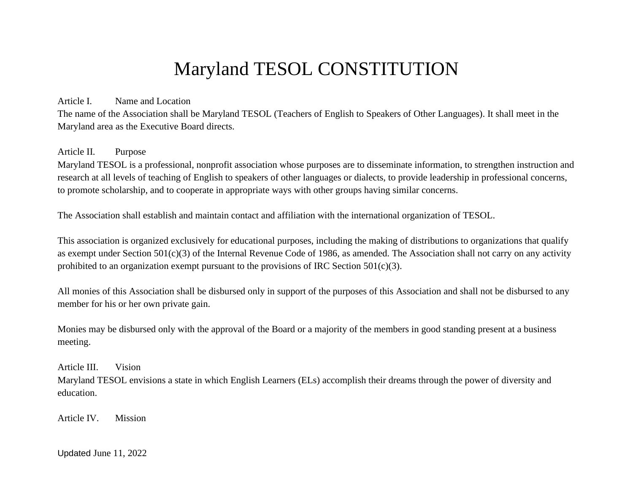# Maryland TESOL CONSTITUTION

#### Article I. Name and Location

The name of the Association shall be Maryland TESOL (Teachers of English to Speakers of Other Languages). It shall meet in the Maryland area as the Executive Board directs.

# Article II. Purpose

Maryland TESOL is a professional, nonprofit association whose purposes are to disseminate information, to strengthen instruction and research at all levels of teaching of English to speakers of other languages or dialects, to provide leadership in professional concerns, to promote scholarship, and to cooperate in appropriate ways with other groups having similar concerns.

The Association shall establish and maintain contact and affiliation with the international organization of TESOL.

This association is organized exclusively for educational purposes, including the making of distributions to organizations that qualify as exempt under Section 501(c)(3) of the Internal Revenue Code of 1986, as amended. The Association shall not carry on any activity prohibited to an organization exempt pursuant to the provisions of IRC Section  $501(c)(3)$ .

All monies of this Association shall be disbursed only in support of the purposes of this Association and shall not be disbursed to any member for his or her own private gain.

Monies may be disbursed only with the approval of the Board or a majority of the members in good standing present at a business meeting.

Article III. Vision

Maryland TESOL envisions a state in which English Learners (ELs) accomplish their dreams through the power of diversity and education.

Article IV. Mission

Updated June 11, 2022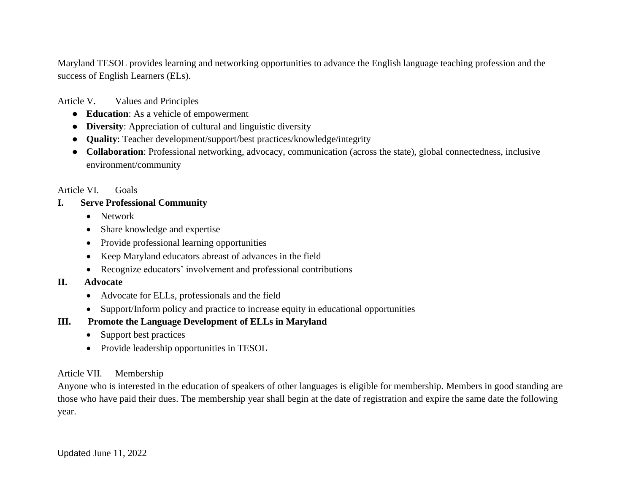Maryland TESOL provides learning and networking opportunities to advance the English language teaching profession and the success of English Learners (ELs).

Article V. Values and Principles

- **Education**: As a vehicle of empowerment
- **Diversity**: Appreciation of cultural and linguistic diversity
- **Quality**: Teacher development/support/best practices/knowledge/integrity
- **Collaboration**: Professional networking, advocacy, communication (across the state), global connectedness, inclusive environment/community

#### Article VI. Goals

## **I. Serve Professional Community**

- Network
- Share knowledge and expertise
- Provide professional learning opportunities
- Keep Maryland educators abreast of advances in the field
- Recognize educators' involvement and professional contributions

# **II. Advocate**

- Advocate for ELLs, professionals and the field
- Support/Inform policy and practice to increase equity in educational opportunities

# **III. Promote the Language Development of ELLs in Maryland**

- Support best practices
- Provide leadership opportunities in TESOL

# Article VII. Membership

Anyone who is interested in the education of speakers of other languages is eligible for membership. Members in good standing are those who have paid their dues. The membership year shall begin at the date of registration and expire the same date the following year.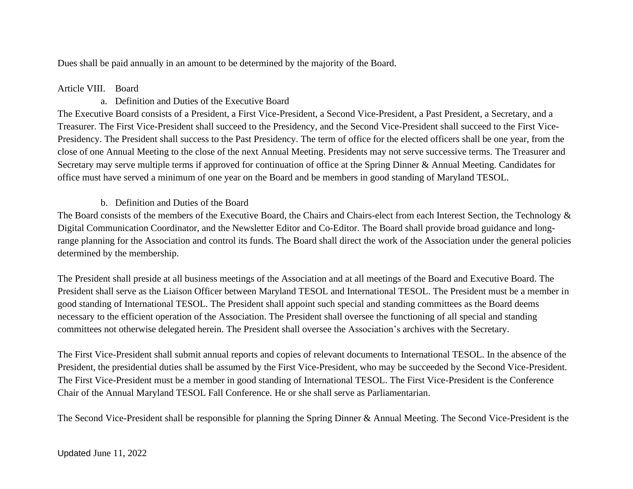Dues shall be paid annually in an amount to be determined by the majority of the Board.

# Article VIII. Board

# a. Definition and Duties of the Executive Board

The Executive Board consists of a President, a First Vice-President, a Second Vice-President, a Past President, a Secretary, and a Treasurer. The First Vice-President shall succeed to the Presidency, and the Second Vice-President shall succeed to the First Vice-Presidency. The President shall success to the Past Presidency. The term of office for the elected officers shall be one year, from the close of one Annual Meeting to the close of the next Annual Meeting. Presidents may not serve successive terms. The Treasurer and Secretary may serve multiple terms if approved for continuation of office at the Spring Dinner & Annual Meeting. Candidates for office must have served a minimum of one year on the Board and be members in good standing of Maryland TESOL.

# b. Definition and Duties of the Board

The Board consists of the members of the Executive Board, the Chairs and Chairs-elect from each Interest Section, the Technology & Digital Communication Coordinator, and the Newsletter Editor and Co-Editor. The Board shall provide broad guidance and longrange planning for the Association and control its funds. The Board shall direct the work of the Association under the general policies determined by the membership.

The President shall preside at all business meetings of the Association and at all meetings of the Board and Executive Board. The President shall serve as the Liaison Officer between Maryland TESOL and International TESOL. The President must be a member in good standing of International TESOL. The President shall appoint such special and standing committees as the Board deems necessary to the efficient operation of the Association. The President shall oversee the functioning of all special and standing committees not otherwise delegated herein. The President shall oversee the Association's archives with the Secretary.

The First Vice-President shall submit annual reports and copies of relevant documents to International TESOL. In the absence of the President, the presidential duties shall be assumed by the First Vice-President, who may be succeeded by the Second Vice-President. The First Vice-President must be a member in good standing of International TESOL. The First Vice-President is the Conference Chair of the Annual Maryland TESOL Fall Conference. He or she shall serve as Parliamentarian.

The Second Vice-President shall be responsible for planning the Spring Dinner & Annual Meeting. The Second Vice-President is the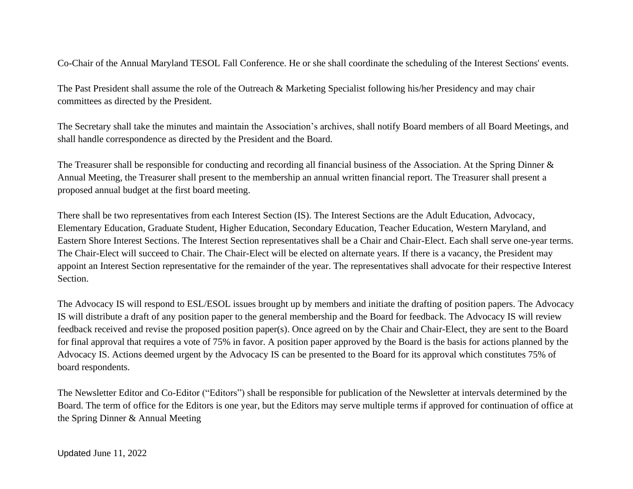Co-Chair of the Annual Maryland TESOL Fall Conference. He or she shall coordinate the scheduling of the Interest Sections' events.

The Past President shall assume the role of the Outreach & Marketing Specialist following his/her Presidency and may chair committees as directed by the President.

The Secretary shall take the minutes and maintain the Association's archives, shall notify Board members of all Board Meetings, and shall handle correspondence as directed by the President and the Board.

The Treasurer shall be responsible for conducting and recording all financial business of the Association. At the Spring Dinner & Annual Meeting, the Treasurer shall present to the membership an annual written financial report. The Treasurer shall present a proposed annual budget at the first board meeting.

There shall be two representatives from each Interest Section (IS). The Interest Sections are the Adult Education, Advocacy, Elementary Education, Graduate Student, Higher Education, Secondary Education, Teacher Education, Western Maryland, and Eastern Shore Interest Sections. The Interest Section representatives shall be a Chair and Chair-Elect. Each shall serve one-year terms. The Chair-Elect will succeed to Chair. The Chair-Elect will be elected on alternate years. If there is a vacancy, the President may appoint an Interest Section representative for the remainder of the year. The representatives shall advocate for their respective Interest Section.

The Advocacy IS will respond to ESL/ESOL issues brought up by members and initiate the drafting of position papers. The Advocacy IS will distribute a draft of any position paper to the general membership and the Board for feedback. The Advocacy IS will review feedback received and revise the proposed position paper(s). Once agreed on by the Chair and Chair-Elect, they are sent to the Board for final approval that requires a vote of 75% in favor. A position paper approved by the Board is the basis for actions planned by the Advocacy IS. Actions deemed urgent by the Advocacy IS can be presented to the Board for its approval which constitutes 75% of board respondents.

The Newsletter Editor and Co-Editor ("Editors") shall be responsible for publication of the Newsletter at intervals determined by the Board. The term of office for the Editors is one year, but the Editors may serve multiple terms if approved for continuation of office at the Spring Dinner & Annual Meeting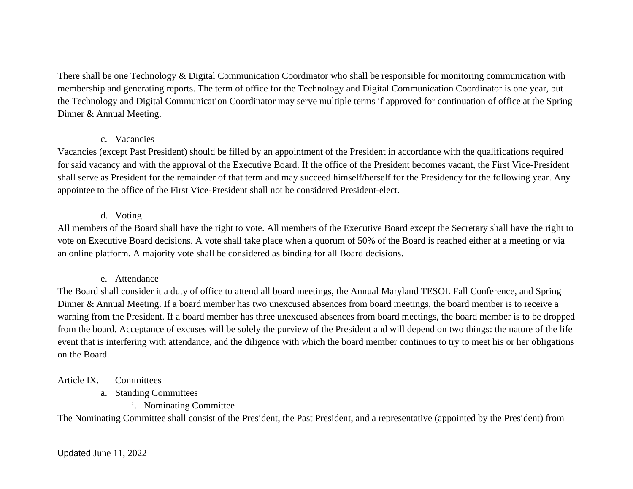There shall be one Technology & Digital Communication Coordinator who shall be responsible for monitoring communication with membership and generating reports. The term of office for the Technology and Digital Communication Coordinator is one year, but the Technology and Digital Communication Coordinator may serve multiple terms if approved for continuation of office at the Spring Dinner & Annual Meeting.

#### c. Vacancies

Vacancies (except Past President) should be filled by an appointment of the President in accordance with the qualifications required for said vacancy and with the approval of the Executive Board. If the office of the President becomes vacant, the First Vice-President shall serve as President for the remainder of that term and may succeed himself/herself for the Presidency for the following year. Any appointee to the office of the First Vice-President shall not be considered President-elect.

# d. Voting

All members of the Board shall have the right to vote. All members of the Executive Board except the Secretary shall have the right to vote on Executive Board decisions. A vote shall take place when a quorum of 50% of the Board is reached either at a meeting or via an online platform. A majority vote shall be considered as binding for all Board decisions.

# e. Attendance

The Board shall consider it a duty of office to attend all board meetings, the Annual Maryland TESOL Fall Conference, and Spring Dinner & Annual Meeting. If a board member has two unexcused absences from board meetings, the board member is to receive a warning from the President. If a board member has three unexcused absences from board meetings, the board member is to be dropped from the board. Acceptance of excuses will be solely the purview of the President and will depend on two things: the nature of the life event that is interfering with attendance, and the diligence with which the board member continues to try to meet his or her obligations on the Board.

# Article IX. Committees

- a. Standing Committees
	- i. Nominating Committee

The Nominating Committee shall consist of the President, the Past President, and a representative (appointed by the President) from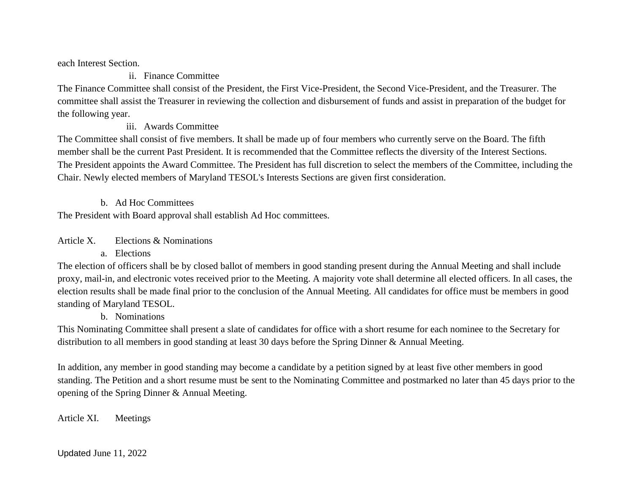each Interest Section.

ii. Finance Committee

The Finance Committee shall consist of the President, the First Vice-President, the Second Vice-President, and the Treasurer. The committee shall assist the Treasurer in reviewing the collection and disbursement of funds and assist in preparation of the budget for the following year.

iii. Awards Committee

The Committee shall consist of five members. It shall be made up of four members who currently serve on the Board. The fifth member shall be the current Past President. It is recommended that the Committee reflects the diversity of the Interest Sections. The President appoints the Award Committee. The President has full discretion to select the members of the Committee, including the Chair. Newly elected members of Maryland TESOL's Interests Sections are given first consideration.

b. Ad Hoc Committees

The President with Board approval shall establish Ad Hoc committees.

Article X. Elections & Nominations

a. Elections

The election of officers shall be by closed ballot of members in good standing present during the Annual Meeting and shall include proxy, mail-in, and electronic votes received prior to the Meeting. A majority vote shall determine all elected officers. In all cases, the election results shall be made final prior to the conclusion of the Annual Meeting. All candidates for office must be members in good standing of Maryland TESOL.

b. Nominations

This Nominating Committee shall present a slate of candidates for office with a short resume for each nominee to the Secretary for distribution to all members in good standing at least 30 days before the Spring Dinner & Annual Meeting.

In addition, any member in good standing may become a candidate by a petition signed by at least five other members in good standing. The Petition and a short resume must be sent to the Nominating Committee and postmarked no later than 45 days prior to the opening of the Spring Dinner & Annual Meeting.

Article XI. Meetings

Updated June 11, 2022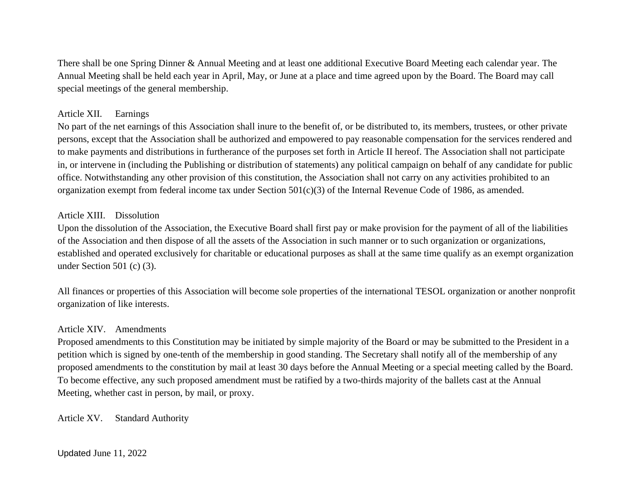There shall be one Spring Dinner & Annual Meeting and at least one additional Executive Board Meeting each calendar year. The Annual Meeting shall be held each year in April, May, or June at a place and time agreed upon by the Board. The Board may call special meetings of the general membership.

#### Article XII. Earnings

No part of the net earnings of this Association shall inure to the benefit of, or be distributed to, its members, trustees, or other private persons, except that the Association shall be authorized and empowered to pay reasonable compensation for the services rendered and to make payments and distributions in furtherance of the purposes set forth in Article II hereof. The Association shall not participate in, or intervene in (including the Publishing or distribution of statements) any political campaign on behalf of any candidate for public office. Notwithstanding any other provision of this constitution, the Association shall not carry on any activities prohibited to an organization exempt from federal income tax under Section 501(c)(3) of the Internal Revenue Code of 1986, as amended.

#### Article XIII. Dissolution

Upon the dissolution of the Association, the Executive Board shall first pay or make provision for the payment of all of the liabilities of the Association and then dispose of all the assets of the Association in such manner or to such organization or organizations, established and operated exclusively for charitable or educational purposes as shall at the same time qualify as an exempt organization under Section 501 (c) (3).

All finances or properties of this Association will become sole properties of the international TESOL organization or another nonprofit organization of like interests.

#### Article XIV. Amendments

Proposed amendments to this Constitution may be initiated by simple majority of the Board or may be submitted to the President in a petition which is signed by one-tenth of the membership in good standing. The Secretary shall notify all of the membership of any proposed amendments to the constitution by mail at least 30 days before the Annual Meeting or a special meeting called by the Board. To become effective, any such proposed amendment must be ratified by a two-thirds majority of the ballets cast at the Annual Meeting, whether cast in person, by mail, or proxy.

Article XV. Standard Authority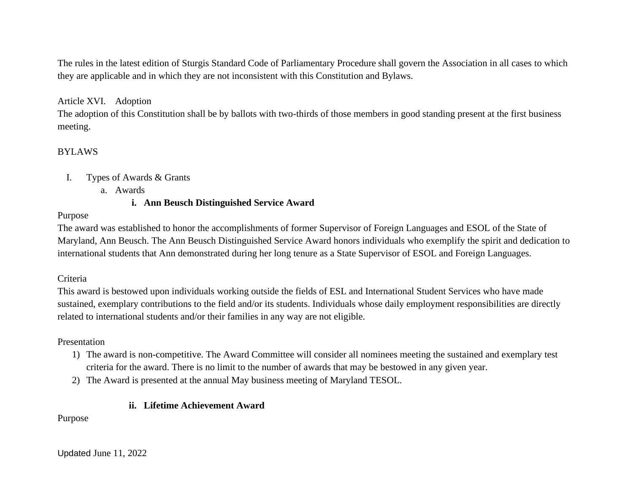The rules in the latest edition of Sturgis Standard Code of Parliamentary Procedure shall govern the Association in all cases to which they are applicable and in which they are not inconsistent with this Constitution and Bylaws.

## Article XVI. Adoption

The adoption of this Constitution shall be by ballots with two-thirds of those members in good standing present at the first business meeting.

#### BYLAWS

#### I. Types of Awards & Grants

a. Awards

#### **i. Ann Beusch Distinguished Service Award**

#### Purpose

The award was established to honor the accomplishments of former Supervisor of Foreign Languages and ESOL of the State of Maryland, Ann Beusch. The Ann Beusch Distinguished Service Award honors individuals who exemplify the spirit and dedication to international students that Ann demonstrated during her long tenure as a State Supervisor of ESOL and Foreign Languages.

#### Criteria

This award is bestowed upon individuals working outside the fields of ESL and International Student Services who have made sustained, exemplary contributions to the field and/or its students. Individuals whose daily employment responsibilities are directly related to international students and/or their families in any way are not eligible.

#### Presentation

- 1) The award is non-competitive. The Award Committee will consider all nominees meeting the sustained and exemplary test criteria for the award. There is no limit to the number of awards that may be bestowed in any given year.
- 2) The Award is presented at the annual May business meeting of Maryland TESOL.

# **ii. Lifetime Achievement Award**

Purpose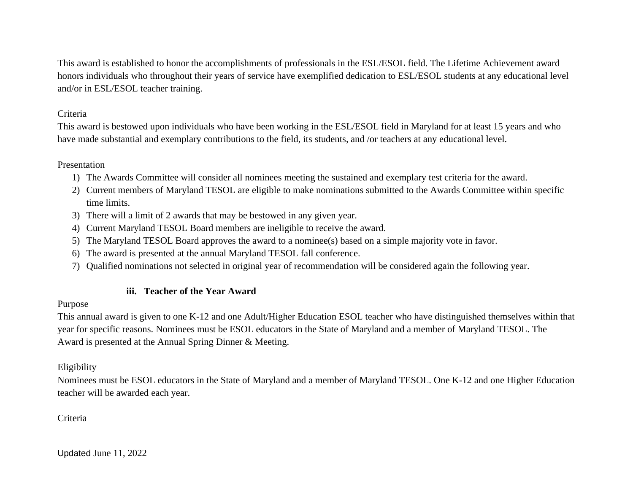This award is established to honor the accomplishments of professionals in the ESL/ESOL field. The Lifetime Achievement award honors individuals who throughout their years of service have exemplified dedication to ESL/ESOL students at any educational level and/or in ESL/ESOL teacher training.

# Criteria

This award is bestowed upon individuals who have been working in the ESL/ESOL field in Maryland for at least 15 years and who have made substantial and exemplary contributions to the field, its students, and /or teachers at any educational level.

# Presentation

- 1) The Awards Committee will consider all nominees meeting the sustained and exemplary test criteria for the award.
- 2) Current members of Maryland TESOL are eligible to make nominations submitted to the Awards Committee within specific time limits.
- 3) There will a limit of 2 awards that may be bestowed in any given year.
- 4) Current Maryland TESOL Board members are ineligible to receive the award.
- 5) The Maryland TESOL Board approves the award to a nominee(s) based on a simple majority vote in favor.
- 6) The award is presented at the annual Maryland TESOL fall conference.
- 7) Qualified nominations not selected in original year of recommendation will be considered again the following year.

# **iii. Teacher of the Year Award**

# Purpose

This annual award is given to one K-12 and one Adult/Higher Education ESOL teacher who have distinguished themselves within that year for specific reasons. Nominees must be ESOL educators in the State of Maryland and a member of Maryland TESOL. The Award is presented at the Annual Spring Dinner & Meeting.

# Eligibility

Nominees must be ESOL educators in the State of Maryland and a member of Maryland TESOL. One K-12 and one Higher Education teacher will be awarded each year.

# Criteria

Updated June 11, 2022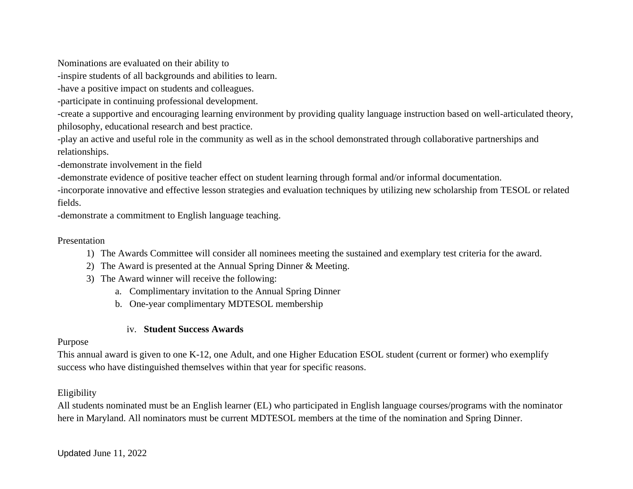Nominations are evaluated on their ability to

-inspire students of all backgrounds and abilities to learn.

-have a positive impact on students and colleagues.

-participate in continuing professional development.

-create a supportive and encouraging learning environment by providing quality language instruction based on well-articulated theory, philosophy, educational research and best practice.

-play an active and useful role in the community as well as in the school demonstrated through collaborative partnerships and relationships.

-demonstrate involvement in the field

-demonstrate evidence of positive teacher effect on student learning through formal and/or informal documentation.

-incorporate innovative and effective lesson strategies and evaluation techniques by utilizing new scholarship from TESOL or related fields.

-demonstrate a commitment to English language teaching.

## Presentation

1) The Awards Committee will consider all nominees meeting the sustained and exemplary test criteria for the award.

- 2) The Award is presented at the Annual Spring Dinner & Meeting.
- 3) The Award winner will receive the following:
	- a. Complimentary invitation to the Annual Spring Dinner
	- b. One-year complimentary MDTESOL membership

# iv. **Student Success Awards**

#### Purpose

This annual award is given to one K-12, one Adult, and one Higher Education ESOL student (current or former) who exemplify success who have distinguished themselves within that year for specific reasons.

# Eligibility

All students nominated must be an English learner (EL) who participated in English language courses/programs with the nominator here in Maryland. All nominators must be current MDTESOL members at the time of the nomination and Spring Dinner.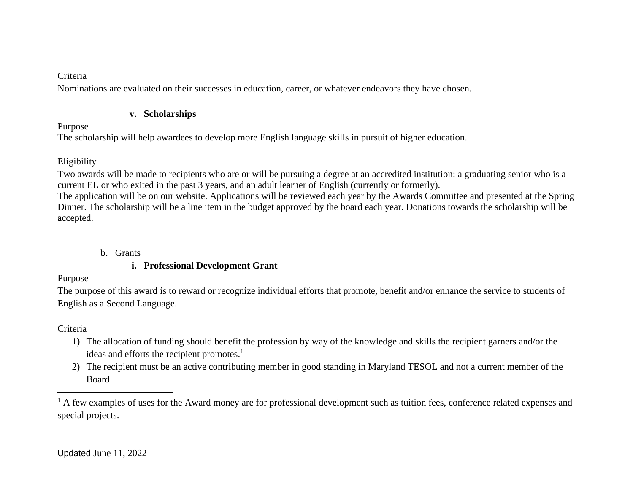## Criteria

Nominations are evaluated on their successes in education, career, or whatever endeavors they have chosen.

## **v. Scholarships**

# Purpose

The scholarship will help awardees to develop more English language skills in pursuit of higher education.

# Eligibility

Two awards will be made to recipients who are or will be pursuing a degree at an accredited institution: a graduating senior who is a current EL or who exited in the past 3 years, and an adult learner of English (currently or formerly).

The application will be on our website. Applications will be reviewed each year by the Awards Committee and presented at the Spring Dinner. The scholarship will be a line item in the budget approved by the board each year. Donations towards the scholarship will be accepted.

# b. Grants

# **i. Professional Development Grant**

# Purpose

The purpose of this award is to reward or recognize individual efforts that promote, benefit and/or enhance the service to students of English as a Second Language.

# Criteria

- 1) The allocation of funding should benefit the profession by way of the knowledge and skills the recipient garners and/or the ideas and efforts the recipient promotes.<sup>1</sup>
- 2) The recipient must be an active contributing member in good standing in Maryland TESOL and not a current member of the Board.

<sup>&</sup>lt;sup>1</sup> A few examples of uses for the Award money are for professional development such as tuition fees, conference related expenses and special projects.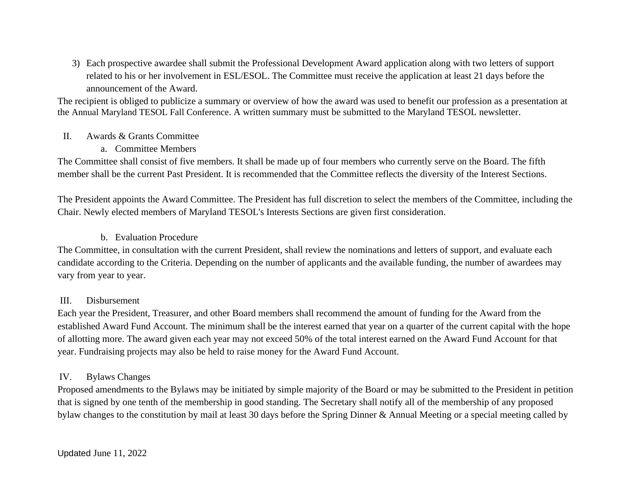3) Each prospective awardee shall submit the Professional Development Award application along with two letters of support related to his or her involvement in ESL/ESOL. The Committee must receive the application at least 21 days before the announcement of the Award.

The recipient is obliged to publicize a summary or overview of how the award was used to benefit our profession as a presentation at the Annual Maryland TESOL Fall Conference. A written summary must be submitted to the Maryland TESOL newsletter.

#### II. Awards & Grants Committee

#### a. Committee Members

The Committee shall consist of five members. It shall be made up of four members who currently serve on the Board. The fifth member shall be the current Past President. It is recommended that the Committee reflects the diversity of the Interest Sections.

The President appoints the Award Committee. The President has full discretion to select the members of the Committee, including the Chair. Newly elected members of Maryland TESOL's Interests Sections are given first consideration.

#### b. Evaluation Procedure

The Committee, in consultation with the current President, shall review the nominations and letters of support, and evaluate each candidate according to the Criteria. Depending on the number of applicants and the available funding, the number of awardees may vary from year to year.

#### III. Disbursement

Each year the President, Treasurer, and other Board members shall recommend the amount of funding for the Award from the established Award Fund Account. The minimum shall be the interest earned that year on a quarter of the current capital with the hope of allotting more. The award given each year may not exceed 50% of the total interest earned on the Award Fund Account for that year. Fundraising projects may also be held to raise money for the Award Fund Account.

# IV. Bylaws Changes

Proposed amendments to the Bylaws may be initiated by simple majority of the Board or may be submitted to the President in petition that is signed by one tenth of the membership in good standing. The Secretary shall notify all of the membership of any proposed bylaw changes to the constitution by mail at least 30 days before the Spring Dinner & Annual Meeting or a special meeting called by